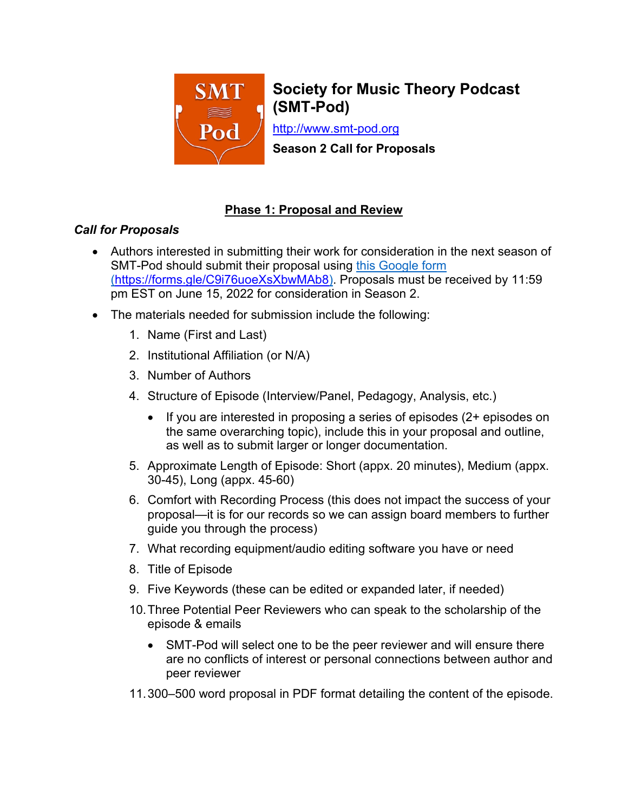

# **Society for Music Theory Podcast (SMT-Pod)**

http://www.smt-pod.org **Season 2 Call for Proposals**

# **Phase 1: Proposal and Review**

# *Call for Proposals*

- Authors interested in submitting their work for consideration in the next season of SMT-Pod should submit their proposal using this Google form (https://forms.gle/C9i76uoeXsXbwMAb8). Proposals must be received by 11:59 pm EST on June 15, 2022 for consideration in Season 2.
- The materials needed for submission include the following:
	- 1. Name (First and Last)
	- 2. Institutional Affiliation (or N/A)
	- 3. Number of Authors
	- 4. Structure of Episode (Interview/Panel, Pedagogy, Analysis, etc.)
		- If you are interested in proposing a series of episodes (2+ episodes on the same overarching topic), include this in your proposal and outline, as well as to submit larger or longer documentation.
	- 5. Approximate Length of Episode: Short (appx. 20 minutes), Medium (appx. 30-45), Long (appx. 45-60)
	- 6. Comfort with Recording Process (this does not impact the success of your proposal—it is for our records so we can assign board members to further guide you through the process)
	- 7. What recording equipment/audio editing software you have or need
	- 8. Title of Episode
	- 9. Five Keywords (these can be edited or expanded later, if needed)
	- 10.Three Potential Peer Reviewers who can speak to the scholarship of the episode & emails
		- SMT-Pod will select one to be the peer reviewer and will ensure there are no conflicts of interest or personal connections between author and peer reviewer
	- 11.300–500 word proposal in PDF format detailing the content of the episode.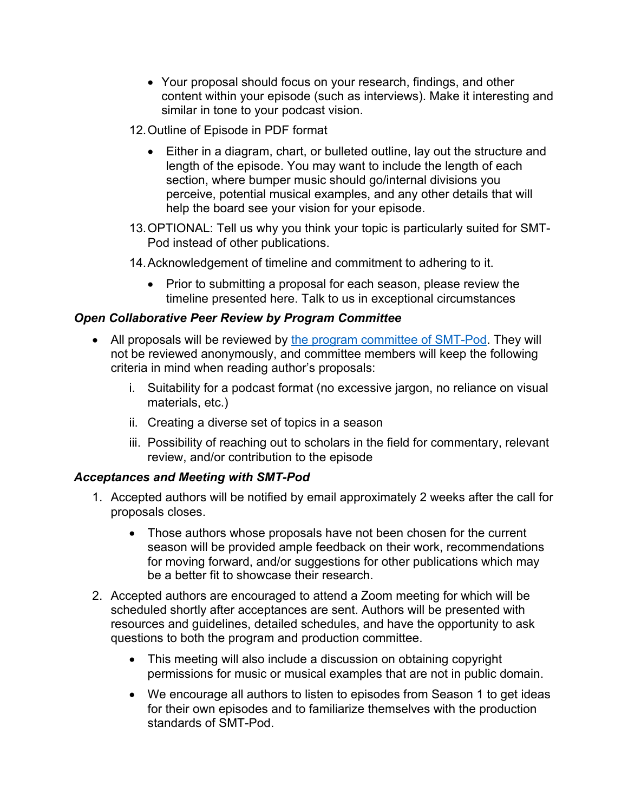- Your proposal should focus on your research, findings, and other content within your episode (such as interviews). Make it interesting and similar in tone to your podcast vision.
- 12.Outline of Episode in PDF format
	- Either in a diagram, chart, or bulleted outline, lay out the structure and length of the episode. You may want to include the length of each section, where bumper music should go/internal divisions you perceive, potential musical examples, and any other details that will help the board see your vision for your episode.
- 13.OPTIONAL: Tell us why you think your topic is particularly suited for SMT-Pod instead of other publications.
- 14.Acknowledgement of timeline and commitment to adhering to it.
	- Prior to submitting a proposal for each season, please review the timeline presented here. Talk to us in exceptional circumstances

#### *Open Collaborative Peer Review by Program Committee*

- All proposals will be reviewed by the program committee of SMT-Pod. They will not be reviewed anonymously, and committee members will keep the following criteria in mind when reading author's proposals:
	- i. Suitability for a podcast format (no excessive jargon, no reliance on visual materials, etc.)
	- ii. Creating a diverse set of topics in a season
	- iii. Possibility of reaching out to scholars in the field for commentary, relevant review, and/or contribution to the episode

#### *Acceptances and Meeting with SMT-Pod*

- 1. Accepted authors will be notified by email approximately 2 weeks after the call for proposals closes.
	- Those authors whose proposals have not been chosen for the current season will be provided ample feedback on their work, recommendations for moving forward, and/or suggestions for other publications which may be a better fit to showcase their research.
- 2. Accepted authors are encouraged to attend a Zoom meeting for which will be scheduled shortly after acceptances are sent. Authors will be presented with resources and guidelines, detailed schedules, and have the opportunity to ask questions to both the program and production committee.
	- This meeting will also include a discussion on obtaining copyright permissions for music or musical examples that are not in public domain.
	- We encourage all authors to listen to episodes from Season 1 to get ideas for their own episodes and to familiarize themselves with the production standards of SMT-Pod.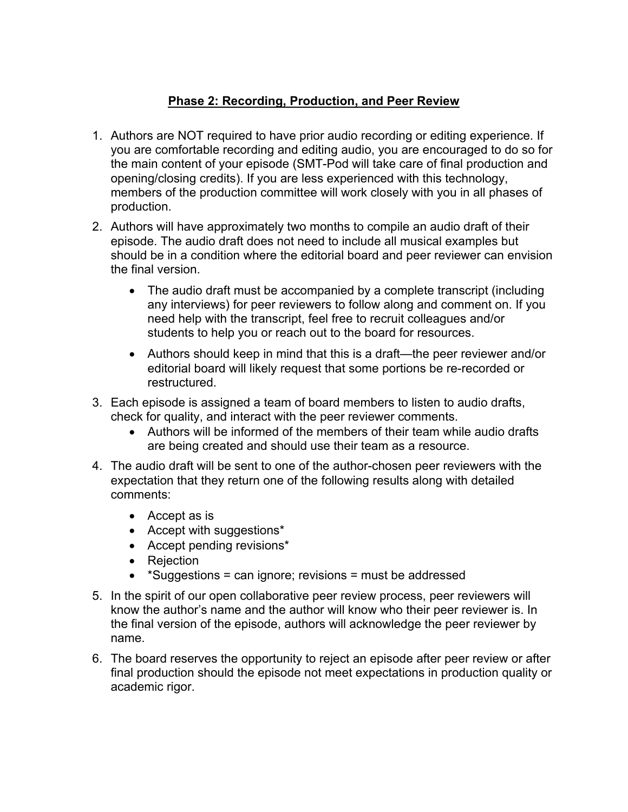## **Phase 2: Recording, Production, and Peer Review**

- 1. Authors are NOT required to have prior audio recording or editing experience. If you are comfortable recording and editing audio, you are encouraged to do so for the main content of your episode (SMT-Pod will take care of final production and opening/closing credits). If you are less experienced with this technology, members of the production committee will work closely with you in all phases of production.
- 2. Authors will have approximately two months to compile an audio draft of their episode. The audio draft does not need to include all musical examples but should be in a condition where the editorial board and peer reviewer can envision the final version.
	- The audio draft must be accompanied by a complete transcript (including any interviews) for peer reviewers to follow along and comment on. If you need help with the transcript, feel free to recruit colleagues and/or students to help you or reach out to the board for resources.
	- Authors should keep in mind that this is a draft—the peer reviewer and/or editorial board will likely request that some portions be re-recorded or restructured.
- 3. Each episode is assigned a team of board members to listen to audio drafts, check for quality, and interact with the peer reviewer comments.
	- Authors will be informed of the members of their team while audio drafts are being created and should use their team as a resource.
- 4. The audio draft will be sent to one of the author-chosen peer reviewers with the expectation that they return one of the following results along with detailed comments:
	- Accept as is
	- Accept with suggestions\*
	- Accept pending revisions\*
	- Rejection
	- \*Suggestions = can ignore; revisions = must be addressed
- 5. In the spirit of our open collaborative peer review process, peer reviewers will know the author's name and the author will know who their peer reviewer is. In the final version of the episode, authors will acknowledge the peer reviewer by name.
- 6. The board reserves the opportunity to reject an episode after peer review or after final production should the episode not meet expectations in production quality or academic rigor.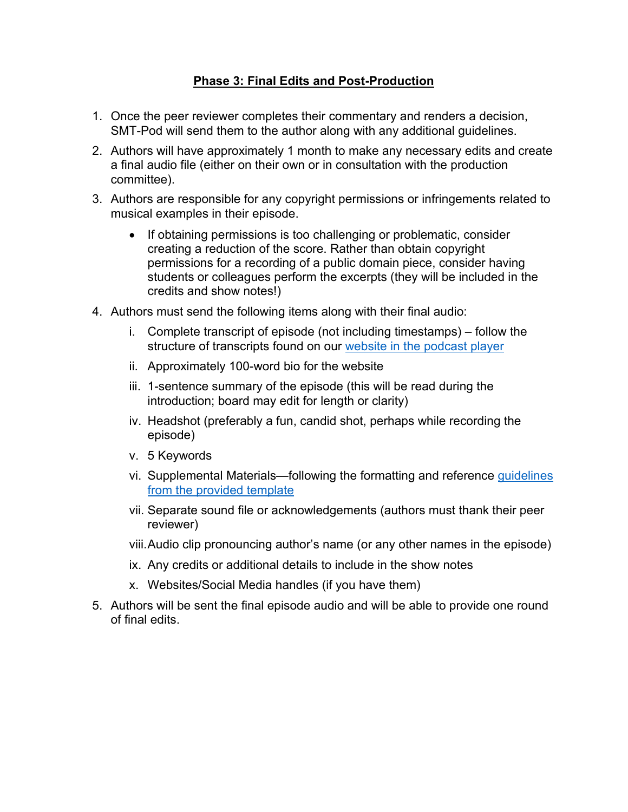# **Phase 3: Final Edits and Post-Production**

- 1. Once the peer reviewer completes their commentary and renders a decision, SMT-Pod will send them to the author along with any additional guidelines.
- 2. Authors will have approximately 1 month to make any necessary edits and create a final audio file (either on their own or in consultation with the production committee).
- 3. Authors are responsible for any copyright permissions or infringements related to musical examples in their episode.
	- If obtaining permissions is too challenging or problematic, consider creating a reduction of the score. Rather than obtain copyright permissions for a recording of a public domain piece, consider having students or colleagues perform the excerpts (they will be included in the credits and show notes!)
- 4. Authors must send the following items along with their final audio:
	- i. Complete transcript of episode (not including timestamps) follow the structure of transcripts found on our website in the podcast player
	- ii. Approximately 100-word bio for the website
	- iii. 1-sentence summary of the episode (this will be read during the introduction; board may edit for length or clarity)
	- iv. Headshot (preferably a fun, candid shot, perhaps while recording the episode)
	- v. 5 Keywords
	- vi. Supplemental Materials—following the formatting and reference guidelines from the provided template
	- vii. Separate sound file or acknowledgements (authors must thank their peer reviewer)
	- viii.Audio clip pronouncing author's name (or any other names in the episode)
	- ix. Any credits or additional details to include in the show notes
	- x. Websites/Social Media handles (if you have them)
- 5. Authors will be sent the final episode audio and will be able to provide one round of final edits.